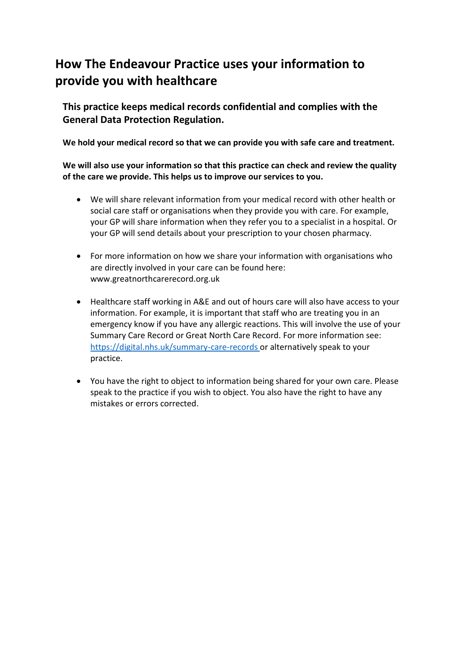# **How The Endeavour Practice uses your information to provide you with healthcare**

**This practice keeps medical records confidential and complies with the General Data Protection Regulation.**

**We hold your medical record so that we can provide you with safe care and treatment.** 

#### **We will also use your information so that this practice can check and review the quality of the care we provide. This helps us to improve our services to you.**

- We will share relevant information from your medical record with other health or social care staff or organisations when they provide you with care. For example, your GP will share information when they refer you to a specialist in a hospital. Or your GP will send details about your prescription to your chosen pharmacy.
- For more information on how we share your information with organisations who are directly involved in your care can be found here: www.greatnorthcarerecord.org.uk
- Healthcare staff working in A&E and out of hours care will also have access to your information. For example, it is important that staff who are treating you in an emergency know if you have any allergic reactions. This will involve the use of your Summary Care Record or Great North Care Record. For more information see: <https://digital.nhs.uk/summary-care-records> or alternatively speak to your practice.
- You have the right to object to information being shared for your own care. Please speak to the practice if you wish to object. You also have the right to have any mistakes or errors corrected.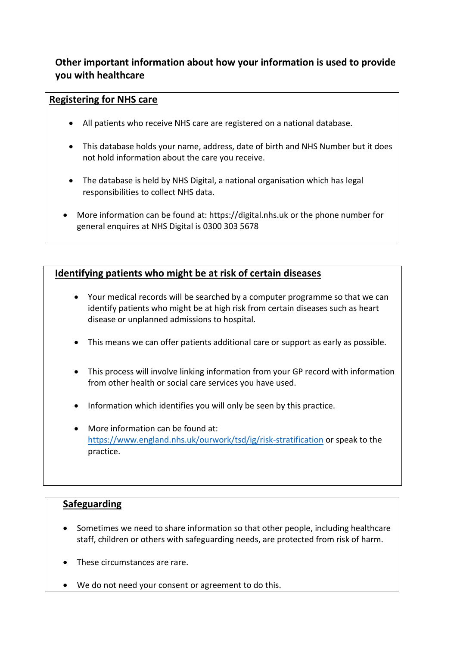## **Other important information about how your information is used to provide you with healthcare**

#### **Registering for NHS care**

- All patients who receive NHS care are registered on a national database.
- This database holds your name, address, date of birth and NHS Number but it does not hold information about the care you receive.
- The database is held by NHS Digital, a national organisation which has legal responsibilities to collect NHS data.
- More information can be found at: https://digital.nhs.uk or the phone number for general enquires at NHS Digital is 0300 303 5678

### **Identifying patients who might be at risk of certain diseases**

- Your medical records will be searched by a computer programme so that we can identify patients who might be at high risk from certain diseases such as heart disease or unplanned admissions to hospital.
- This means we can offer patients additional care or support as early as possible.
- This process will involve linking information from your GP record with information from other health or social care services you have used.
- Information which identifies you will only be seen by this practice.
- More information can be found at: <https://www.england.nhs.uk/ourwork/tsd/ig/risk-stratification> or speak to the practice.

#### **Safeguarding**

- Sometimes we need to share information so that other people, including healthcare staff, children or others with safeguarding needs, are protected from risk of harm.
- These circumstances are rare.
- We do not need your consent or agreement to do this.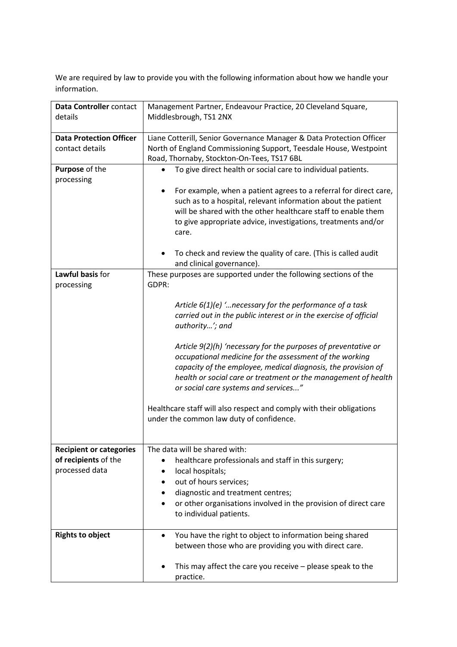We are required by law to provide you with the following information about how we handle your information.

| Data Controller contact        | Management Partner, Endeavour Practice, 20 Cleveland Square,          |
|--------------------------------|-----------------------------------------------------------------------|
| details                        | Middlesbrough, TS1 2NX                                                |
|                                |                                                                       |
| <b>Data Protection Officer</b> | Liane Cotterill, Senior Governance Manager & Data Protection Officer  |
| contact details                | North of England Commissioning Support, Teesdale House, Westpoint     |
|                                | Road, Thornaby, Stockton-On-Tees, TS17 6BL                            |
| Purpose of the                 | To give direct health or social care to individual patients.          |
| processing                     |                                                                       |
|                                | For example, when a patient agrees to a referral for direct care,     |
|                                | such as to a hospital, relevant information about the patient         |
|                                | will be shared with the other healthcare staff to enable them         |
|                                | to give appropriate advice, investigations, treatments and/or         |
|                                | care.                                                                 |
|                                |                                                                       |
|                                | To check and review the quality of care. (This is called audit        |
|                                | and clinical governance).                                             |
| Lawful basis for               | These purposes are supported under the following sections of the      |
| processing                     | GDPR:                                                                 |
|                                |                                                                       |
|                                | Article $6(1)(e)$ ' necessary for the performance of a task           |
|                                | carried out in the public interest or in the exercise of official     |
|                                | authority'; and                                                       |
|                                | Article 9(2)(h) 'necessary for the purposes of preventative or        |
|                                | occupational medicine for the assessment of the working               |
|                                | capacity of the employee, medical diagnosis, the provision of         |
|                                | health or social care or treatment or the management of health        |
|                                | or social care systems and services"                                  |
|                                |                                                                       |
|                                | Healthcare staff will also respect and comply with their obligations  |
|                                | under the common law duty of confidence.                              |
|                                |                                                                       |
|                                |                                                                       |
| <b>Recipient or categories</b> | The data will be shared with:                                         |
| of recipients of the           | healthcare professionals and staff in this surgery;                   |
| processed data                 | local hospitals;                                                      |
|                                | out of hours services;                                                |
|                                | diagnostic and treatment centres;                                     |
|                                | or other organisations involved in the provision of direct care       |
|                                | to individual patients.                                               |
|                                |                                                                       |
| <b>Rights to object</b>        | You have the right to object to information being shared<br>$\bullet$ |
|                                | between those who are providing you with direct care.                 |
|                                |                                                                       |
|                                | This may affect the care you receive $-$ please speak to the          |
|                                | practice.                                                             |